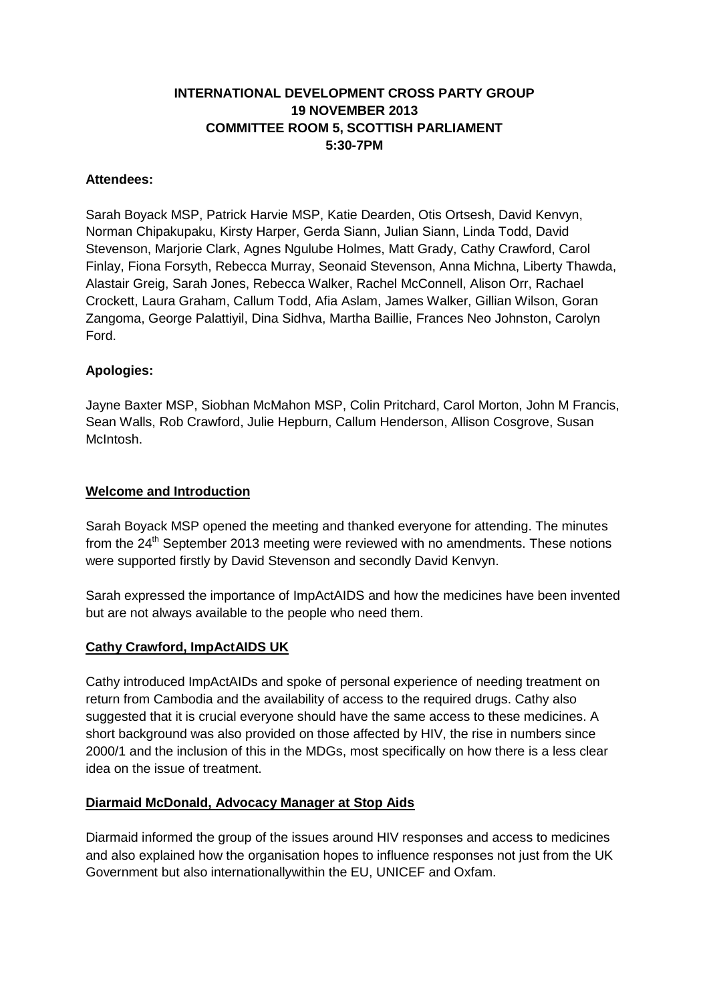## **INTERNATIONAL DEVELOPMENT CROSS PARTY GROUP 19 NOVEMBER 2013 COMMITTEE ROOM 5, SCOTTISH PARLIAMENT 5:30-7PM**

#### **Attendees:**

Sarah Boyack MSP, Patrick Harvie MSP, Katie Dearden, Otis Ortsesh, David Kenvyn, Norman Chipakupaku, Kirsty Harper, Gerda Siann, Julian Siann, Linda Todd, David Stevenson, Marjorie Clark, Agnes Ngulube Holmes, Matt Grady, Cathy Crawford, Carol Finlay, Fiona Forsyth, Rebecca Murray, Seonaid Stevenson, Anna Michna, Liberty Thawda, Alastair Greig, Sarah Jones, Rebecca Walker, Rachel McConnell, Alison Orr, Rachael Crockett, Laura Graham, Callum Todd, Afia Aslam, James Walker, Gillian Wilson, Goran Zangoma, George Palattiyil, Dina Sidhva, Martha Baillie, Frances Neo Johnston, Carolyn Ford.

### **Apologies:**

Jayne Baxter MSP, Siobhan McMahon MSP, Colin Pritchard, Carol Morton, John M Francis, Sean Walls, Rob Crawford, Julie Hepburn, Callum Henderson, Allison Cosgrove, Susan McIntosh.

#### **Welcome and Introduction**

Sarah Boyack MSP opened the meeting and thanked everyone for attending. The minutes from the  $24<sup>th</sup>$  September 2013 meeting were reviewed with no amendments. These notions were supported firstly by David Stevenson and secondly David Kenvyn.

Sarah expressed the importance of ImpActAIDS and how the medicines have been invented but are not always available to the people who need them.

### **Cathy Crawford, ImpActAIDS UK**

Cathy introduced ImpActAIDs and spoke of personal experience of needing treatment on return from Cambodia and the availability of access to the required drugs. Cathy also suggested that it is crucial everyone should have the same access to these medicines. A short background was also provided on those affected by HIV, the rise in numbers since 2000/1 and the inclusion of this in the MDGs, most specifically on how there is a less clear idea on the issue of treatment.

#### **Diarmaid McDonald, Advocacy Manager at Stop Aids**

Diarmaid informed the group of the issues around HIV responses and access to medicines and also explained how the organisation hopes to influence responses not just from the UK Government but also internationallywithin the EU, UNICEF and Oxfam.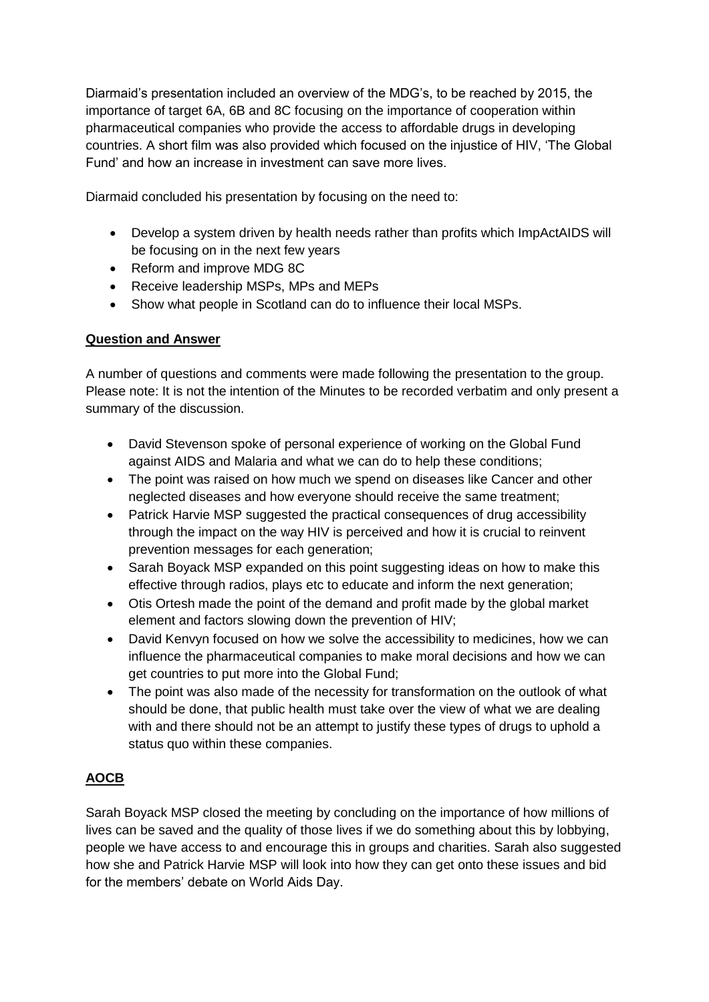Diarmaid's presentation included an overview of the MDG's, to be reached by 2015, the importance of target 6A, 6B and 8C focusing on the importance of cooperation within pharmaceutical companies who provide the access to affordable drugs in developing countries. A short film was also provided which focused on the injustice of HIV, 'The Global Fund' and how an increase in investment can save more lives.

Diarmaid concluded his presentation by focusing on the need to:

- Develop a system driven by health needs rather than profits which ImpActAIDS will be focusing on in the next few years
- Reform and improve MDG 8C
- Receive leadership MSPs, MPs and MEPs
- Show what people in Scotland can do to influence their local MSPs.

## **Question and Answer**

A number of questions and comments were made following the presentation to the group. Please note: It is not the intention of the Minutes to be recorded verbatim and only present a summary of the discussion.

- David Stevenson spoke of personal experience of working on the Global Fund against AIDS and Malaria and what we can do to help these conditions;
- The point was raised on how much we spend on diseases like Cancer and other neglected diseases and how everyone should receive the same treatment;
- Patrick Harvie MSP suggested the practical consequences of drug accessibility through the impact on the way HIV is perceived and how it is crucial to reinvent prevention messages for each generation;
- Sarah Boyack MSP expanded on this point suggesting ideas on how to make this effective through radios, plays etc to educate and inform the next generation;
- Otis Ortesh made the point of the demand and profit made by the global market element and factors slowing down the prevention of HIV;
- David Kenvyn focused on how we solve the accessibility to medicines, how we can influence the pharmaceutical companies to make moral decisions and how we can get countries to put more into the Global Fund;
- The point was also made of the necessity for transformation on the outlook of what should be done, that public health must take over the view of what we are dealing with and there should not be an attempt to justify these types of drugs to uphold a status quo within these companies.

# **AOCB**

Sarah Boyack MSP closed the meeting by concluding on the importance of how millions of lives can be saved and the quality of those lives if we do something about this by lobbying, people we have access to and encourage this in groups and charities. Sarah also suggested how she and Patrick Harvie MSP will look into how they can get onto these issues and bid for the members' debate on World Aids Day.